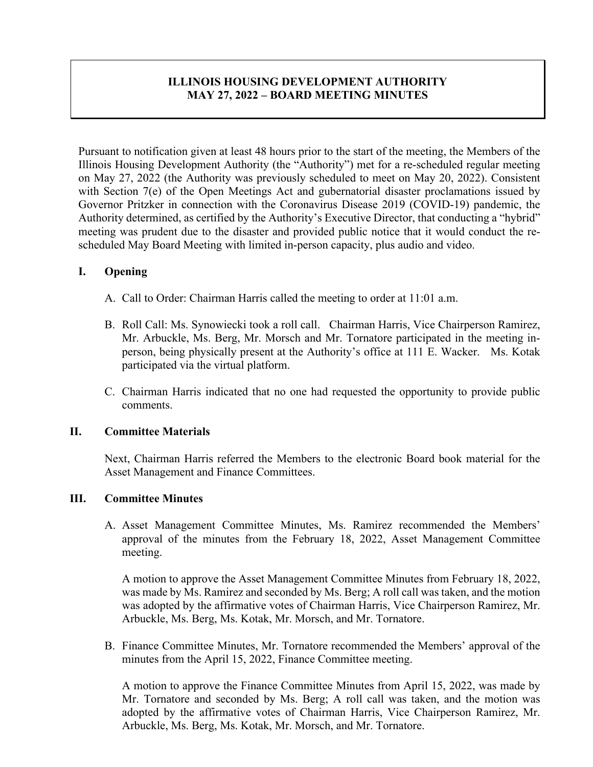# **ILLINOIS HOUSING DEVELOPMENT AUTHORITY MAY 27, 2022 – BOARD MEETING MINUTES**

Pursuant to notification given at least 48 hours prior to the start of the meeting, the Members of the Illinois Housing Development Authority (the "Authority") met for a re-scheduled regular meeting on May 27, 2022 (the Authority was previously scheduled to meet on May 20, 2022). Consistent with Section 7(e) of the Open Meetings Act and gubernatorial disaster proclamations issued by Governor Pritzker in connection with the Coronavirus Disease 2019 (COVID-19) pandemic, the Authority determined, as certified by the Authority's Executive Director, that conducting a "hybrid" meeting was prudent due to the disaster and provided public notice that it would conduct the rescheduled May Board Meeting with limited in-person capacity, plus audio and video.

# **I. Opening**

- A. Call to Order: Chairman Harris called the meeting to order at 11:01 a.m.
- B. Roll Call: Ms. Synowiecki took a roll call. Chairman Harris, Vice Chairperson Ramirez, Mr. Arbuckle, Ms. Berg, Mr. Morsch and Mr. Tornatore participated in the meeting inperson, being physically present at the Authority's office at 111 E. Wacker. Ms. Kotak participated via the virtual platform.
- C. Chairman Harris indicated that no one had requested the opportunity to provide public comments.

# **II. Committee Materials**

Next, Chairman Harris referred the Members to the electronic Board book material for the Asset Management and Finance Committees.

# **III. Committee Minutes**

A. Asset Management Committee Minutes, Ms. Ramirez recommended the Members' approval of the minutes from the February 18, 2022, Asset Management Committee meeting.

A motion to approve the Asset Management Committee Minutes from February 18, 2022, was made by Ms. Ramirez and seconded by Ms. Berg; A roll call was taken, and the motion was adopted by the affirmative votes of Chairman Harris, Vice Chairperson Ramirez, Mr. Arbuckle, Ms. Berg, Ms. Kotak, Mr. Morsch, and Mr. Tornatore.

B. Finance Committee Minutes, Mr. Tornatore recommended the Members' approval of the minutes from the April 15, 2022, Finance Committee meeting.

A motion to approve the Finance Committee Minutes from April 15, 2022, was made by Mr. Tornatore and seconded by Ms. Berg; A roll call was taken, and the motion was adopted by the affirmative votes of Chairman Harris, Vice Chairperson Ramirez, Mr. Arbuckle, Ms. Berg, Ms. Kotak, Mr. Morsch, and Mr. Tornatore.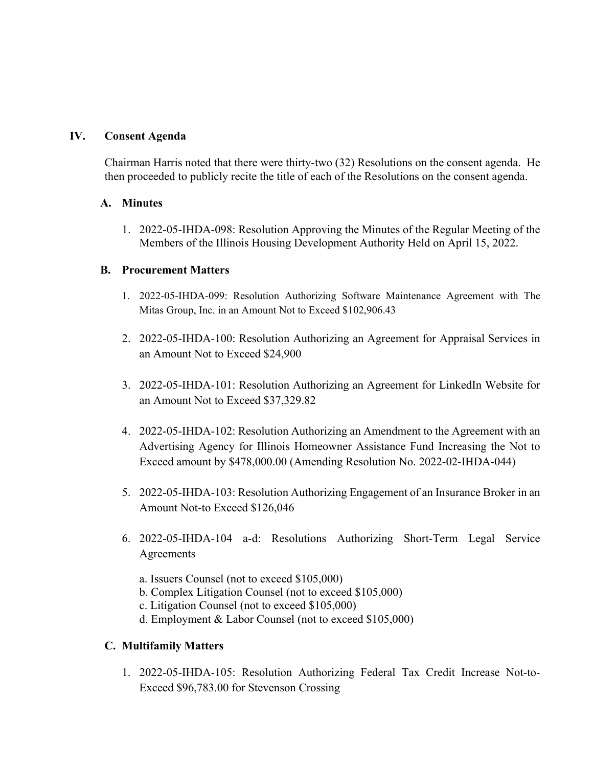# **IV. Consent Agenda**

Chairman Harris noted that there were thirty-two (32) Resolutions on the consent agenda. He then proceeded to publicly recite the title of each of the Resolutions on the consent agenda.

# **A. Minutes**

1. 2022-05-IHDA-098: Resolution Approving the Minutes of the Regular Meeting of the Members of the Illinois Housing Development Authority Held on April 15, 2022.

# **B. Procurement Matters**

- 1. 2022-05-IHDA-099: Resolution Authorizing Software Maintenance Agreement with The Mitas Group, Inc. in an Amount Not to Exceed \$102,906.43
- 2. 2022-05-IHDA-100: Resolution Authorizing an Agreement for Appraisal Services in an Amount Not to Exceed \$24,900
- 3. 2022-05-IHDA-101: Resolution Authorizing an Agreement for LinkedIn Website for an Amount Not to Exceed \$37,329.82
- 4. 2022-05-IHDA-102: Resolution Authorizing an Amendment to the Agreement with an Advertising Agency for Illinois Homeowner Assistance Fund Increasing the Not to Exceed amount by \$478,000.00 (Amending Resolution No. 2022-02-IHDA-044)
- 5. 2022-05-IHDA-103: Resolution Authorizing Engagement of an Insurance Broker in an Amount Not-to Exceed \$126,046
- 6. 2022-05-IHDA-104 a-d: Resolutions Authorizing Short-Term Legal Service Agreements
	- a. Issuers Counsel (not to exceed \$105,000)
	- b. Complex Litigation Counsel (not to exceed \$105,000)
	- c. Litigation Counsel (not to exceed \$105,000)
	- d. Employment & Labor Counsel (not to exceed \$105,000)

# **C. Multifamily Matters**

1. 2022-05-IHDA-105: Resolution Authorizing Federal Tax Credit Increase Not-to-Exceed \$96,783.00 for Stevenson Crossing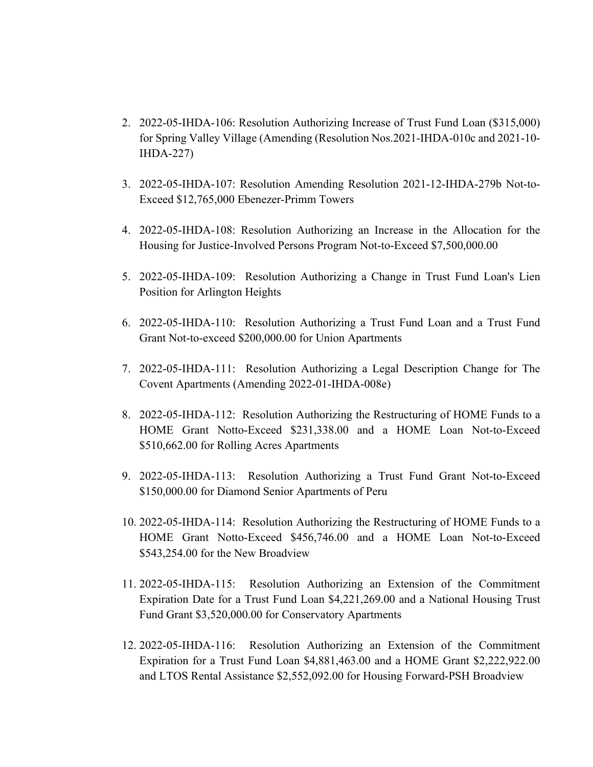- 2. 2022-05-IHDA-106: Resolution Authorizing Increase of Trust Fund Loan (\$315,000) for Spring Valley Village (Amending (Resolution Nos.2021-IHDA-010c and 2021-10- IHDA-227)
- 3. 2022-05-IHDA-107: Resolution Amending Resolution 2021-12-IHDA-279b Not-to-Exceed \$12,765,000 Ebenezer-Primm Towers
- 4. 2022-05-IHDA-108: Resolution Authorizing an Increase in the Allocation for the Housing for Justice-Involved Persons Program Not-to-Exceed \$7,500,000.00
- 5. 2022-05-IHDA-109: Resolution Authorizing a Change in Trust Fund Loan's Lien Position for Arlington Heights
- 6. 2022-05-IHDA-110: Resolution Authorizing a Trust Fund Loan and a Trust Fund Grant Not-to-exceed \$200,000.00 for Union Apartments
- 7. 2022-05-IHDA-111: Resolution Authorizing a Legal Description Change for The Covent Apartments (Amending 2022-01-IHDA-008e)
- 8. 2022-05-IHDA-112: Resolution Authorizing the Restructuring of HOME Funds to a HOME Grant Notto-Exceed \$231,338.00 and a HOME Loan Not-to-Exceed \$510,662.00 for Rolling Acres Apartments
- 9. 2022-05-IHDA-113: Resolution Authorizing a Trust Fund Grant Not-to-Exceed \$150,000.00 for Diamond Senior Apartments of Peru
- 10. 2022-05-IHDA-114: Resolution Authorizing the Restructuring of HOME Funds to a HOME Grant Notto-Exceed \$456,746.00 and a HOME Loan Not-to-Exceed \$543,254.00 for the New Broadview
- 11. 2022-05-IHDA-115: Resolution Authorizing an Extension of the Commitment Expiration Date for a Trust Fund Loan \$4,221,269.00 and a National Housing Trust Fund Grant \$3,520,000.00 for Conservatory Apartments
- 12. 2022-05-IHDA-116: Resolution Authorizing an Extension of the Commitment Expiration for a Trust Fund Loan \$4,881,463.00 and a HOME Grant \$2,222,922.00 and LTOS Rental Assistance \$2,552,092.00 for Housing Forward-PSH Broadview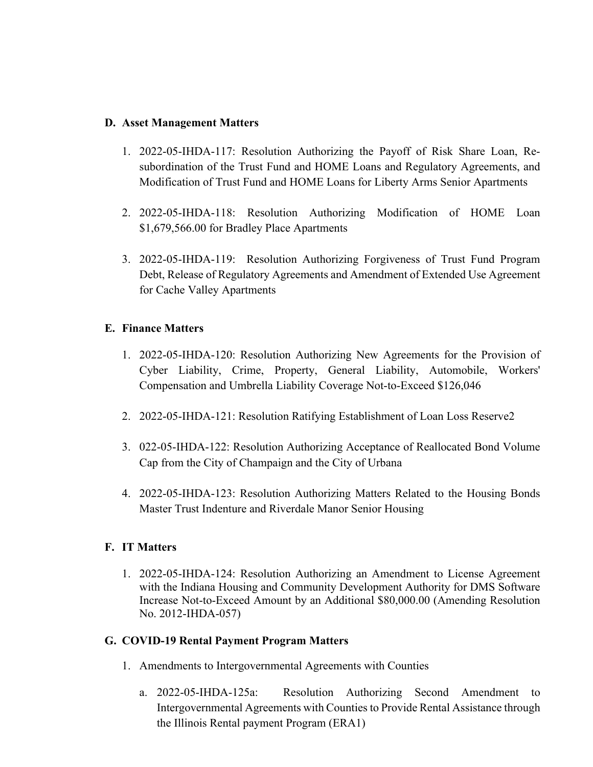# **D. Asset Management Matters**

- 1. 2022-05-IHDA-117: Resolution Authorizing the Payoff of Risk Share Loan, Resubordination of the Trust Fund and HOME Loans and Regulatory Agreements, and Modification of Trust Fund and HOME Loans for Liberty Arms Senior Apartments
- 2. 2022-05-IHDA-118: Resolution Authorizing Modification of HOME Loan \$1,679,566.00 for Bradley Place Apartments
- 3. 2022-05-IHDA-119: Resolution Authorizing Forgiveness of Trust Fund Program Debt, Release of Regulatory Agreements and Amendment of Extended Use Agreement for Cache Valley Apartments

# **E. Finance Matters**

- 1. 2022-05-IHDA-120: Resolution Authorizing New Agreements for the Provision of Cyber Liability, Crime, Property, General Liability, Automobile, Workers' Compensation and Umbrella Liability Coverage Not-to-Exceed \$126,046
- 2. 2022-05-IHDA-121: Resolution Ratifying Establishment of Loan Loss Reserve2
- 3. 022-05-IHDA-122: Resolution Authorizing Acceptance of Reallocated Bond Volume Cap from the City of Champaign and the City of Urbana
- 4. 2022-05-IHDA-123: Resolution Authorizing Matters Related to the Housing Bonds Master Trust Indenture and Riverdale Manor Senior Housing

# **F. IT Matters**

1. 2022-05-IHDA-124: Resolution Authorizing an Amendment to License Agreement with the Indiana Housing and Community Development Authority for DMS Software Increase Not-to-Exceed Amount by an Additional \$80,000.00 (Amending Resolution No. 2012-IHDA-057)

# **G. COVID-19 Rental Payment Program Matters**

- 1. Amendments to Intergovernmental Agreements with Counties
	- a. 2022-05-IHDA-125a: Resolution Authorizing Second Amendment to Intergovernmental Agreements with Counties to Provide Rental Assistance through the Illinois Rental payment Program (ERA1)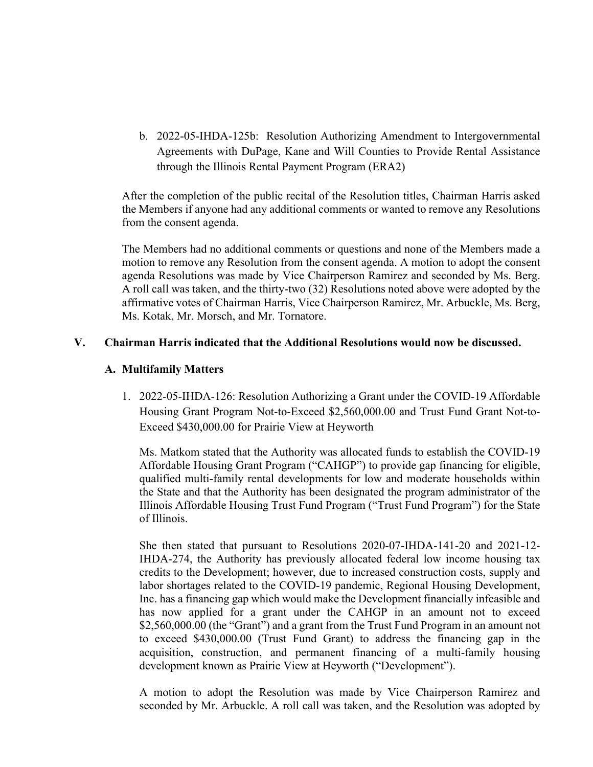b. 2022-05-IHDA-125b: Resolution Authorizing Amendment to Intergovernmental Agreements with DuPage, Kane and Will Counties to Provide Rental Assistance through the Illinois Rental Payment Program (ERA2)

After the completion of the public recital of the Resolution titles, Chairman Harris asked the Members if anyone had any additional comments or wanted to remove any Resolutions from the consent agenda.

The Members had no additional comments or questions and none of the Members made a motion to remove any Resolution from the consent agenda. A motion to adopt the consent agenda Resolutions was made by Vice Chairperson Ramirez and seconded by Ms. Berg. A roll call was taken, and the thirty-two (32) Resolutions noted above were adopted by the affirmative votes of Chairman Harris, Vice Chairperson Ramirez, Mr. Arbuckle, Ms. Berg, Ms. Kotak, Mr. Morsch, and Mr. Tornatore.

# **V. Chairman Harris indicated that the Additional Resolutions would now be discussed.**

# **A. Multifamily Matters**

1. 2022-05-IHDA-126: Resolution Authorizing a Grant under the COVID-19 Affordable Housing Grant Program Not-to-Exceed \$2,560,000.00 and Trust Fund Grant Not-to-Exceed \$430,000.00 for Prairie View at Heyworth

Ms. Matkom stated that the Authority was allocated funds to establish the COVID-19 Affordable Housing Grant Program ("CAHGP") to provide gap financing for eligible, qualified multi-family rental developments for low and moderate households within the State and that the Authority has been designated the program administrator of the Illinois Affordable Housing Trust Fund Program ("Trust Fund Program") for the State of Illinois.

She then stated that pursuant to Resolutions 2020-07-IHDA-141-20 and 2021-12- IHDA-274, the Authority has previously allocated federal low income housing tax credits to the Development; however, due to increased construction costs, supply and labor shortages related to the COVID-19 pandemic, Regional Housing Development, Inc. has a financing gap which would make the Development financially infeasible and has now applied for a grant under the CAHGP in an amount not to exceed \$2,560,000.00 (the "Grant") and a grant from the Trust Fund Program in an amount not to exceed \$430,000.00 (Trust Fund Grant) to address the financing gap in the acquisition, construction, and permanent financing of a multi-family housing development known as Prairie View at Heyworth ("Development").

A motion to adopt the Resolution was made by Vice Chairperson Ramirez and seconded by Mr. Arbuckle. A roll call was taken, and the Resolution was adopted by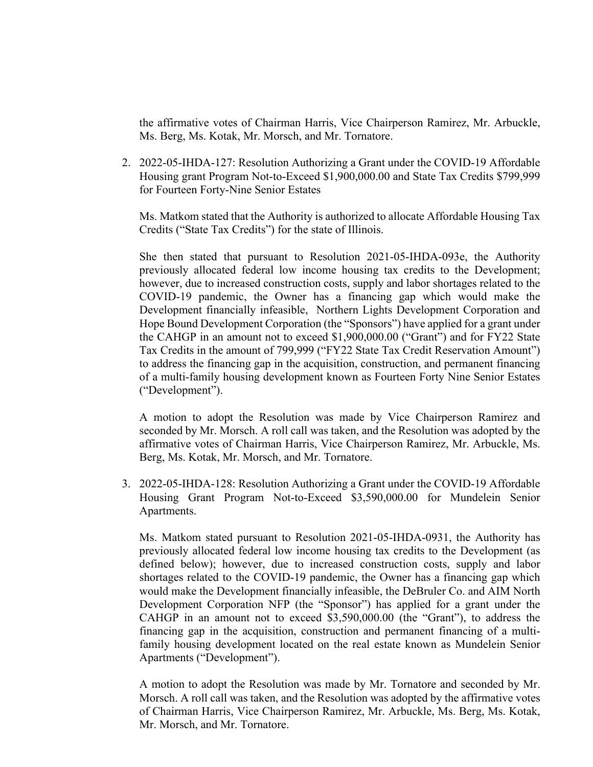the affirmative votes of Chairman Harris, Vice Chairperson Ramirez, Mr. Arbuckle, Ms. Berg, Ms. Kotak, Mr. Morsch, and Mr. Tornatore.

2. 2022-05-IHDA-127: Resolution Authorizing a Grant under the COVID-19 Affordable Housing grant Program Not-to-Exceed \$1,900,000.00 and State Tax Credits \$799,999 for Fourteen Forty-Nine Senior Estates

Ms. Matkom stated that the Authority is authorized to allocate Affordable Housing Tax Credits ("State Tax Credits") for the state of Illinois.

She then stated that pursuant to Resolution 2021-05-IHDA-093e, the Authority previously allocated federal low income housing tax credits to the Development; however, due to increased construction costs, supply and labor shortages related to the COVID-19 pandemic, the Owner has a financing gap which would make the Development financially infeasible, Northern Lights Development Corporation and Hope Bound Development Corporation (the "Sponsors") have applied for a grant under the CAHGP in an amount not to exceed \$1,900,000.00 ("Grant") and for FY22 State Tax Credits in the amount of 799,999 ("FY22 State Tax Credit Reservation Amount") to address the financing gap in the acquisition, construction, and permanent financing of a multi-family housing development known as Fourteen Forty Nine Senior Estates ("Development").

A motion to adopt the Resolution was made by Vice Chairperson Ramirez and seconded by Mr. Morsch. A roll call was taken, and the Resolution was adopted by the affirmative votes of Chairman Harris, Vice Chairperson Ramirez, Mr. Arbuckle, Ms. Berg, Ms. Kotak, Mr. Morsch, and Mr. Tornatore.

3. 2022-05-IHDA-128: Resolution Authorizing a Grant under the COVID-19 Affordable Housing Grant Program Not-to-Exceed \$3,590,000.00 for Mundelein Senior Apartments.

Ms. Matkom stated pursuant to Resolution 2021-05-IHDA-0931, the Authority has previously allocated federal low income housing tax credits to the Development (as defined below); however, due to increased construction costs, supply and labor shortages related to the COVID-19 pandemic, the Owner has a financing gap which would make the Development financially infeasible, the DeBruler Co. and AIM North Development Corporation NFP (the "Sponsor") has applied for a grant under the CAHGP in an amount not to exceed \$3,590,000.00 (the "Grant"), to address the financing gap in the acquisition, construction and permanent financing of a multifamily housing development located on the real estate known as Mundelein Senior Apartments ("Development").

A motion to adopt the Resolution was made by Mr. Tornatore and seconded by Mr. Morsch. A roll call was taken, and the Resolution was adopted by the affirmative votes of Chairman Harris, Vice Chairperson Ramirez, Mr. Arbuckle, Ms. Berg, Ms. Kotak, Mr. Morsch, and Mr. Tornatore.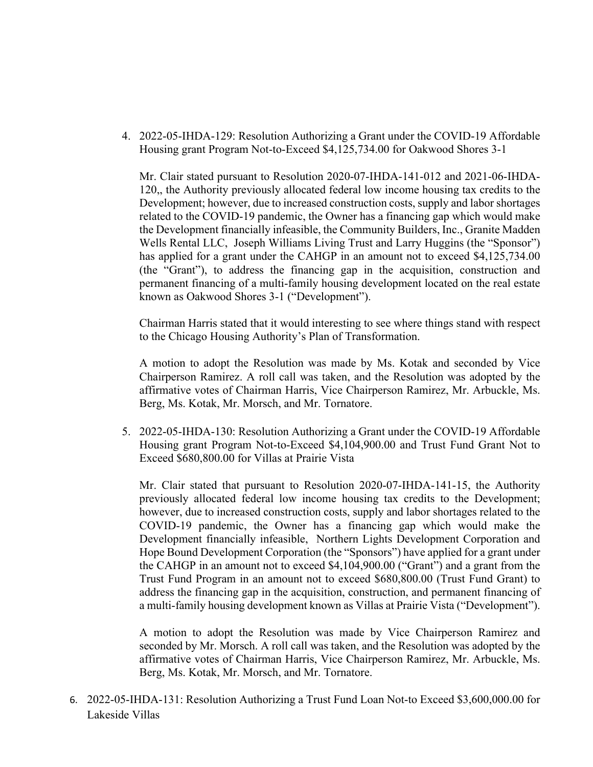4. 2022-05-IHDA-129: Resolution Authorizing a Grant under the COVID-19 Affordable Housing grant Program Not-to-Exceed \$4,125,734.00 for Oakwood Shores 3-1

Mr. Clair stated pursuant to Resolution 2020-07-IHDA-141-012 and 2021-06-IHDA-120,, the Authority previously allocated federal low income housing tax credits to the Development; however, due to increased construction costs, supply and labor shortages related to the COVID-19 pandemic, the Owner has a financing gap which would make the Development financially infeasible, the Community Builders, Inc., Granite Madden Wells Rental LLC, Joseph Williams Living Trust and Larry Huggins (the "Sponsor") has applied for a grant under the CAHGP in an amount not to exceed \$4,125,734.00 (the "Grant"), to address the financing gap in the acquisition, construction and permanent financing of a multi-family housing development located on the real estate known as Oakwood Shores 3-1 ("Development").

Chairman Harris stated that it would interesting to see where things stand with respect to the Chicago Housing Authority's Plan of Transformation.

A motion to adopt the Resolution was made by Ms. Kotak and seconded by Vice Chairperson Ramirez. A roll call was taken, and the Resolution was adopted by the affirmative votes of Chairman Harris, Vice Chairperson Ramirez, Mr. Arbuckle, Ms. Berg, Ms. Kotak, Mr. Morsch, and Mr. Tornatore.

5. 2022-05-IHDA-130: Resolution Authorizing a Grant under the COVID-19 Affordable Housing grant Program Not-to-Exceed \$4,104,900.00 and Trust Fund Grant Not to Exceed \$680,800.00 for Villas at Prairie Vista

Mr. Clair stated that pursuant to Resolution 2020-07-IHDA-141-15, the Authority previously allocated federal low income housing tax credits to the Development; however, due to increased construction costs, supply and labor shortages related to the COVID-19 pandemic, the Owner has a financing gap which would make the Development financially infeasible, Northern Lights Development Corporation and Hope Bound Development Corporation (the "Sponsors") have applied for a grant under the CAHGP in an amount not to exceed \$4,104,900.00 ("Grant") and a grant from the Trust Fund Program in an amount not to exceed \$680,800.00 (Trust Fund Grant) to address the financing gap in the acquisition, construction, and permanent financing of a multi-family housing development known as Villas at Prairie Vista ("Development").

A motion to adopt the Resolution was made by Vice Chairperson Ramirez and seconded by Mr. Morsch. A roll call was taken, and the Resolution was adopted by the affirmative votes of Chairman Harris, Vice Chairperson Ramirez, Mr. Arbuckle, Ms. Berg, Ms. Kotak, Mr. Morsch, and Mr. Tornatore.

6. 2022-05-IHDA-131: Resolution Authorizing a Trust Fund Loan Not-to Exceed \$3,600,000.00 for Lakeside Villas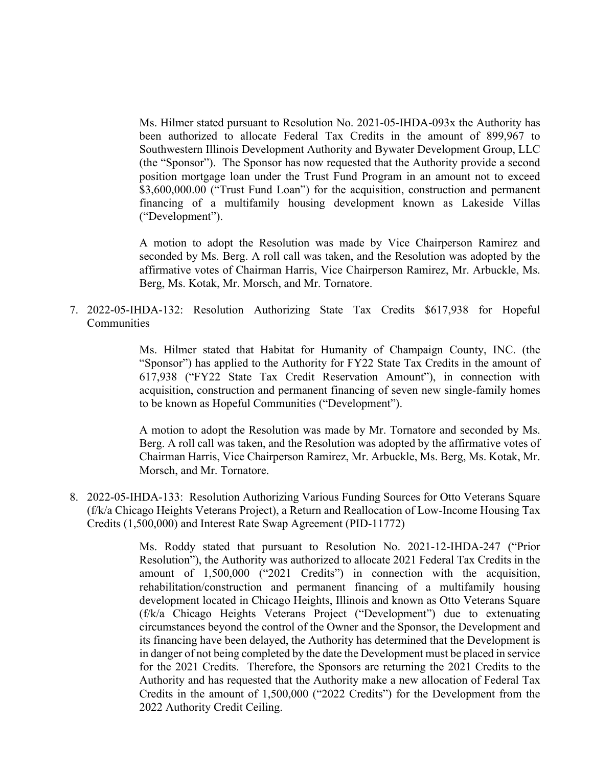Ms. Hilmer stated pursuant to Resolution No. 2021-05-IHDA-093x the Authority has been authorized to allocate Federal Tax Credits in the amount of 899,967 to Southwestern Illinois Development Authority and Bywater Development Group, LLC (the "Sponsor"). The Sponsor has now requested that the Authority provide a second position mortgage loan under the Trust Fund Program in an amount not to exceed \$3,600,000.00 ("Trust Fund Loan") for the acquisition, construction and permanent financing of a multifamily housing development known as Lakeside Villas ("Development").

A motion to adopt the Resolution was made by Vice Chairperson Ramirez and seconded by Ms. Berg. A roll call was taken, and the Resolution was adopted by the affirmative votes of Chairman Harris, Vice Chairperson Ramirez, Mr. Arbuckle, Ms. Berg, Ms. Kotak, Mr. Morsch, and Mr. Tornatore.

7. 2022-05-IHDA-132: Resolution Authorizing State Tax Credits \$617,938 for Hopeful **Communities** 

> Ms. Hilmer stated that Habitat for Humanity of Champaign County, INC. (the "Sponsor") has applied to the Authority for FY22 State Tax Credits in the amount of 617,938 ("FY22 State Tax Credit Reservation Amount"), in connection with acquisition, construction and permanent financing of seven new single-family homes to be known as Hopeful Communities ("Development").

> A motion to adopt the Resolution was made by Mr. Tornatore and seconded by Ms. Berg. A roll call was taken, and the Resolution was adopted by the affirmative votes of Chairman Harris, Vice Chairperson Ramirez, Mr. Arbuckle, Ms. Berg, Ms. Kotak, Mr. Morsch, and Mr. Tornatore.

8. 2022-05-IHDA-133: Resolution Authorizing Various Funding Sources for Otto Veterans Square (f/k/a Chicago Heights Veterans Project), a Return and Reallocation of Low-Income Housing Tax Credits (1,500,000) and Interest Rate Swap Agreement (PID-11772)

> Ms. Roddy stated that pursuant to Resolution No. 2021-12-IHDA-247 ("Prior Resolution"), the Authority was authorized to allocate 2021 Federal Tax Credits in the amount of 1,500,000 ("2021 Credits") in connection with the acquisition, rehabilitation/construction and permanent financing of a multifamily housing development located in Chicago Heights, Illinois and known as Otto Veterans Square (f/k/a Chicago Heights Veterans Project ("Development") due to extenuating circumstances beyond the control of the Owner and the Sponsor, the Development and its financing have been delayed, the Authority has determined that the Development is in danger of not being completed by the date the Development must be placed in service for the 2021 Credits. Therefore, the Sponsors are returning the 2021 Credits to the Authority and has requested that the Authority make a new allocation of Federal Tax Credits in the amount of 1,500,000 ("2022 Credits") for the Development from the 2022 Authority Credit Ceiling.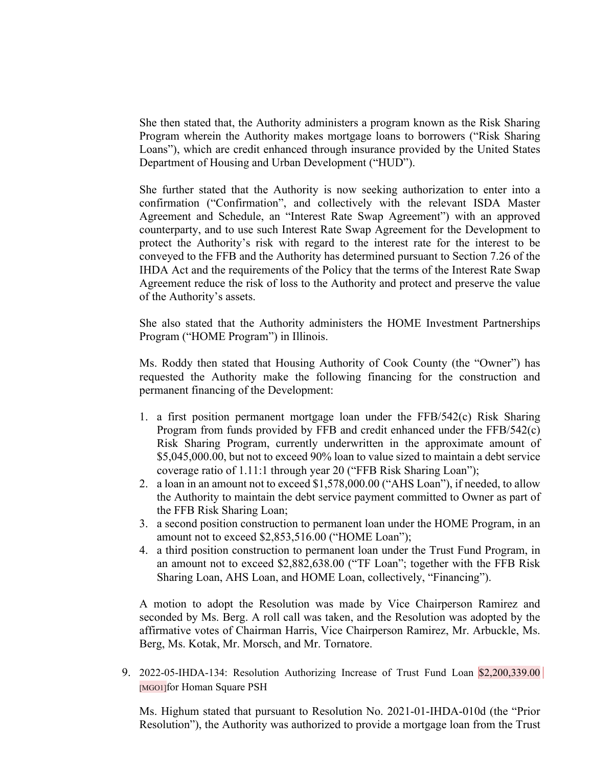She then stated that, the Authority administers a program known as the Risk Sharing Program wherein the Authority makes mortgage loans to borrowers ("Risk Sharing Loans"), which are credit enhanced through insurance provided by the United States Department of Housing and Urban Development ("HUD").

She further stated that the Authority is now seeking authorization to enter into a confirmation ("Confirmation", and collectively with the relevant ISDA Master Agreement and Schedule, an "Interest Rate Swap Agreement") with an approved counterparty, and to use such Interest Rate Swap Agreement for the Development to protect the Authority's risk with regard to the interest rate for the interest to be conveyed to the FFB and the Authority has determined pursuant to Section 7.26 of the IHDA Act and the requirements of the Policy that the terms of the Interest Rate Swap Agreement reduce the risk of loss to the Authority and protect and preserve the value of the Authority's assets.

She also stated that the Authority administers the HOME Investment Partnerships Program ("HOME Program") in Illinois.

Ms. Roddy then stated that Housing Authority of Cook County (the "Owner") has requested the Authority make the following financing for the construction and permanent financing of the Development:

- 1. a first position permanent mortgage loan under the FFB/542(c) Risk Sharing Program from funds provided by FFB and credit enhanced under the FFB/542(c) Risk Sharing Program, currently underwritten in the approximate amount of \$5,045,000.00, but not to exceed 90% loan to value sized to maintain a debt service coverage ratio of 1.11:1 through year 20 ("FFB Risk Sharing Loan");
- 2. a loan in an amount not to exceed \$1,578,000.00 ("AHS Loan"), if needed, to allow the Authority to maintain the debt service payment committed to Owner as part of the FFB Risk Sharing Loan;
- 3. a second position construction to permanent loan under the HOME Program, in an amount not to exceed \$2,853,516.00 ("HOME Loan");
- 4. a third position construction to permanent loan under the Trust Fund Program, in an amount not to exceed \$2,882,638.00 ("TF Loan"; together with the FFB Risk Sharing Loan, AHS Loan, and HOME Loan, collectively, "Financing").

A motion to adopt the Resolution was made by Vice Chairperson Ramirez and seconded by Ms. Berg. A roll call was taken, and the Resolution was adopted by the affirmative votes of Chairman Harris, Vice Chairperson Ramirez, Mr. Arbuckle, Ms. Berg, Ms. Kotak, Mr. Morsch, and Mr. Tornatore.

9. 2022-05-IHDA-134: Resolution Authorizing Increase of Trust Fund Loan \$2,200,339.00 [MGO1]for Homan Square PSH

Ms. Highum stated that pursuant to Resolution No. 2021-01-IHDA-010d (the "Prior Resolution"), the Authority was authorized to provide a mortgage loan from the Trust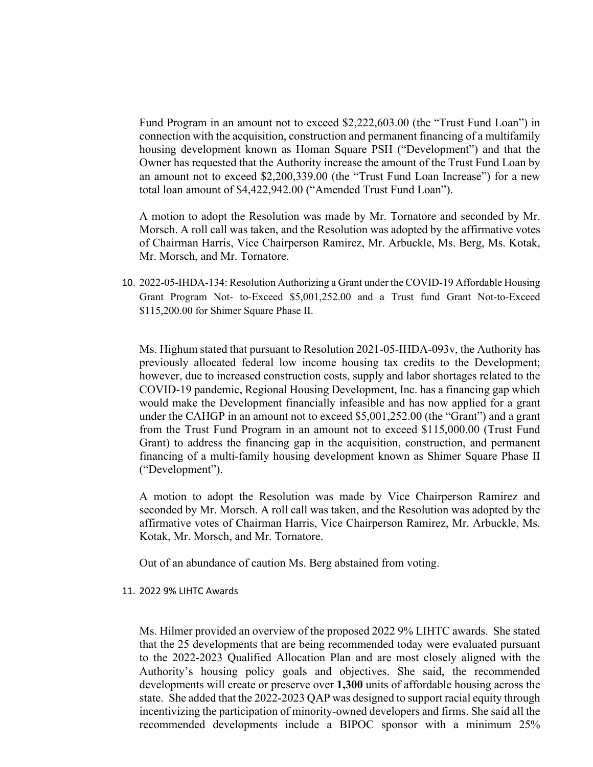Fund Program in an amount not to exceed \$2,222,603.00 (the "Trust Fund Loan") in connection with the acquisition, construction and permanent financing of a multifamily housing development known as Homan Square PSH ("Development") and that the Owner has requested that the Authority increase the amount of the Trust Fund Loan by an amount not to exceed \$2,200,339.00 (the "Trust Fund Loan Increase") for a new total loan amount of \$4,422,942.00 ("Amended Trust Fund Loan").

A motion to adopt the Resolution was made by Mr. Tornatore and seconded by Mr. Morsch. A roll call was taken, and the Resolution was adopted by the affirmative votes of Chairman Harris, Vice Chairperson Ramirez, Mr. Arbuckle, Ms. Berg, Ms. Kotak, Mr. Morsch, and Mr. Tornatore.

10. 2022-05-IHDA-134: Resolution Authorizing a Grant under the COVID-19 Affordable Housing Grant Program Not- to-Exceed \$5,001,252.00 and a Trust fund Grant Not-to-Exceed \$115,200.00 for Shimer Square Phase II.

Ms. Highum stated that pursuant to Resolution 2021-05-IHDA-093v, the Authority has previously allocated federal low income housing tax credits to the Development; however, due to increased construction costs, supply and labor shortages related to the COVID-19 pandemic, Regional Housing Development, Inc. has a financing gap which would make the Development financially infeasible and has now applied for a grant under the CAHGP in an amount not to exceed \$5,001,252.00 (the "Grant") and a grant from the Trust Fund Program in an amount not to exceed \$115,000.00 (Trust Fund Grant) to address the financing gap in the acquisition, construction, and permanent financing of a multi-family housing development known as Shimer Square Phase II ("Development").

A motion to adopt the Resolution was made by Vice Chairperson Ramirez and seconded by Mr. Morsch. A roll call was taken, and the Resolution was adopted by the affirmative votes of Chairman Harris, Vice Chairperson Ramirez, Mr. Arbuckle, Ms. Kotak, Mr. Morsch, and Mr. Tornatore.

Out of an abundance of caution Ms. Berg abstained from voting.

#### 11. 2022 9% LIHTC Awards

Ms. Hilmer provided an overview of the proposed 2022 9% LIHTC awards. She stated that the 25 developments that are being recommended today were evaluated pursuant to the 2022-2023 Qualified Allocation Plan and are most closely aligned with the Authority's housing policy goals and objectives. She said, the recommended developments will create or preserve over **1,300** units of affordable housing across the state. She added that the 2022-2023 QAP was designed to support racial equity through incentivizing the participation of minority-owned developers and firms. She said all the recommended developments include a BIPOC sponsor with a minimum 25%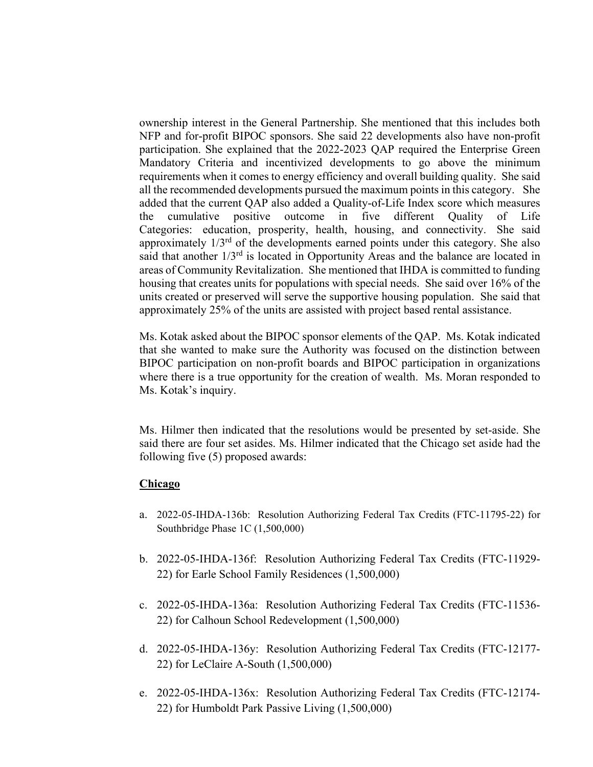ownership interest in the General Partnership. She mentioned that this includes both NFP and for-profit BIPOC sponsors. She said 22 developments also have non-profit participation. She explained that the 2022-2023 QAP required the Enterprise Green Mandatory Criteria and incentivized developments to go above the minimum requirements when it comes to energy efficiency and overall building quality. She said all the recommended developments pursued the maximum points in this category. She added that the current QAP also added a Quality-of-Life Index score which measures the cumulative positive outcome in five different Quality of Life Categories: education, prosperity, health, housing, and connectivity. She said approximately  $1/3^{rd}$  of the developments earned points under this category. She also said that another  $1/3<sup>rd</sup>$  is located in Opportunity Areas and the balance are located in areas of Community Revitalization. She mentioned that IHDA is committed to funding housing that creates units for populations with special needs. She said over 16% of the units created or preserved will serve the supportive housing population. She said that approximately 25% of the units are assisted with project based rental assistance.

Ms. Kotak asked about the BIPOC sponsor elements of the QAP. Ms. Kotak indicated that she wanted to make sure the Authority was focused on the distinction between BIPOC participation on non-profit boards and BIPOC participation in organizations where there is a true opportunity for the creation of wealth. Ms. Moran responded to Ms. Kotak's inquiry.

Ms. Hilmer then indicated that the resolutions would be presented by set-aside. She said there are four set asides. Ms. Hilmer indicated that the Chicago set aside had the following five (5) proposed awards:

### **Chicago**

- a. 2022-05-IHDA-136b: Resolution Authorizing Federal Tax Credits (FTC-11795-22) for Southbridge Phase 1C (1,500,000)
- b. 2022-05-IHDA-136f: Resolution Authorizing Federal Tax Credits (FTC-11929- 22) for Earle School Family Residences (1,500,000)
- c. 2022-05-IHDA-136a: Resolution Authorizing Federal Tax Credits (FTC-11536- 22) for Calhoun School Redevelopment (1,500,000)
- d. 2022-05-IHDA-136y: Resolution Authorizing Federal Tax Credits (FTC-12177- 22) for LeClaire A-South (1,500,000)
- e. 2022-05-IHDA-136x: Resolution Authorizing Federal Tax Credits (FTC-12174- 22) for Humboldt Park Passive Living (1,500,000)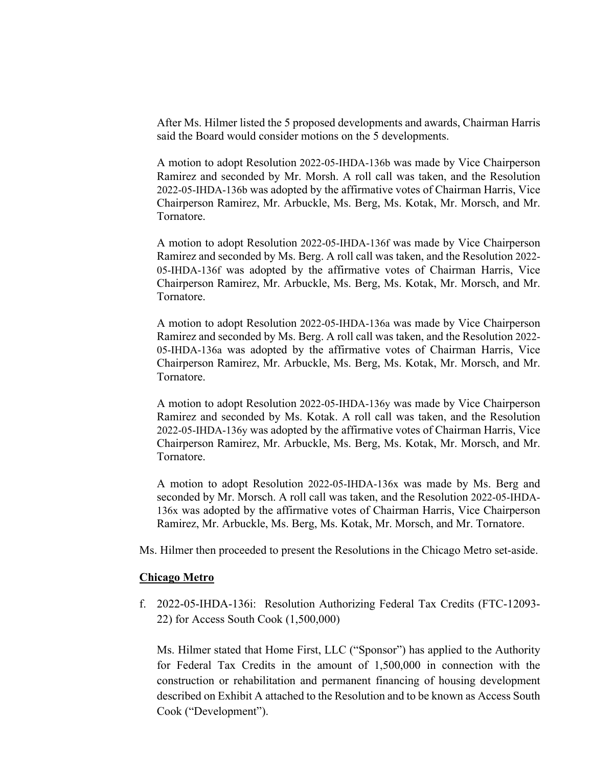After Ms. Hilmer listed the 5 proposed developments and awards, Chairman Harris said the Board would consider motions on the 5 developments.

A motion to adopt Resolution 2022-05-IHDA-136b was made by Vice Chairperson Ramirez and seconded by Mr. Morsh. A roll call was taken, and the Resolution 2022-05-IHDA-136b was adopted by the affirmative votes of Chairman Harris, Vice Chairperson Ramirez, Mr. Arbuckle, Ms. Berg, Ms. Kotak, Mr. Morsch, and Mr. Tornatore.

A motion to adopt Resolution 2022-05-IHDA-136f was made by Vice Chairperson Ramirez and seconded by Ms. Berg. A roll call was taken, and the Resolution 2022- 05-IHDA-136f was adopted by the affirmative votes of Chairman Harris, Vice Chairperson Ramirez, Mr. Arbuckle, Ms. Berg, Ms. Kotak, Mr. Morsch, and Mr. Tornatore.

A motion to adopt Resolution 2022-05-IHDA-136a was made by Vice Chairperson Ramirez and seconded by Ms. Berg. A roll call was taken, and the Resolution 2022- 05-IHDA-136a was adopted by the affirmative votes of Chairman Harris, Vice Chairperson Ramirez, Mr. Arbuckle, Ms. Berg, Ms. Kotak, Mr. Morsch, and Mr. Tornatore.

A motion to adopt Resolution 2022-05-IHDA-136y was made by Vice Chairperson Ramirez and seconded by Ms. Kotak. A roll call was taken, and the Resolution 2022-05-IHDA-136y was adopted by the affirmative votes of Chairman Harris, Vice Chairperson Ramirez, Mr. Arbuckle, Ms. Berg, Ms. Kotak, Mr. Morsch, and Mr. Tornatore.

A motion to adopt Resolution 2022-05-IHDA-136x was made by Ms. Berg and seconded by Mr. Morsch. A roll call was taken, and the Resolution 2022-05-IHDA-136x was adopted by the affirmative votes of Chairman Harris, Vice Chairperson Ramirez, Mr. Arbuckle, Ms. Berg, Ms. Kotak, Mr. Morsch, and Mr. Tornatore.

Ms. Hilmer then proceeded to present the Resolutions in the Chicago Metro set-aside.

#### **Chicago Metro**

f. 2022-05-IHDA-136i: Resolution Authorizing Federal Tax Credits (FTC-12093- 22) for Access South Cook (1,500,000)

Ms. Hilmer stated that Home First, LLC ("Sponsor") has applied to the Authority for Federal Tax Credits in the amount of 1,500,000 in connection with the construction or rehabilitation and permanent financing of housing development described on Exhibit A attached to the Resolution and to be known as Access South Cook ("Development").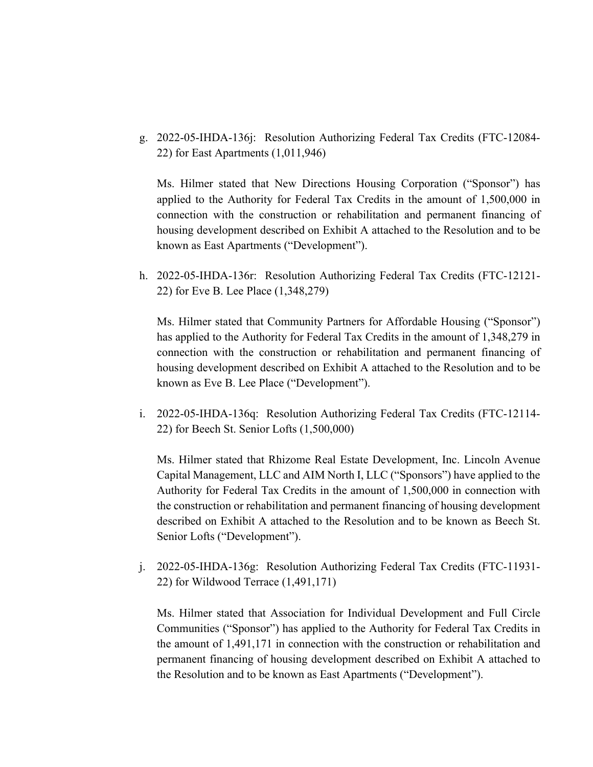g. 2022-05-IHDA-136j: Resolution Authorizing Federal Tax Credits (FTC-12084- 22) for East Apartments (1,011,946)

Ms. Hilmer stated that New Directions Housing Corporation ("Sponsor") has applied to the Authority for Federal Tax Credits in the amount of 1,500,000 in connection with the construction or rehabilitation and permanent financing of housing development described on Exhibit A attached to the Resolution and to be known as East Apartments ("Development").

h. 2022-05-IHDA-136r: Resolution Authorizing Federal Tax Credits (FTC-12121- 22) for Eve B. Lee Place (1,348,279)

Ms. Hilmer stated that Community Partners for Affordable Housing ("Sponsor") has applied to the Authority for Federal Tax Credits in the amount of 1,348,279 in connection with the construction or rehabilitation and permanent financing of housing development described on Exhibit A attached to the Resolution and to be known as Eve B. Lee Place ("Development").

i. 2022-05-IHDA-136q: Resolution Authorizing Federal Tax Credits (FTC-12114- 22) for Beech St. Senior Lofts (1,500,000)

Ms. Hilmer stated that Rhizome Real Estate Development, Inc. Lincoln Avenue Capital Management, LLC and AIM North I, LLC ("Sponsors") have applied to the Authority for Federal Tax Credits in the amount of 1,500,000 in connection with the construction or rehabilitation and permanent financing of housing development described on Exhibit A attached to the Resolution and to be known as Beech St. Senior Lofts ("Development").

j. 2022-05-IHDA-136g: Resolution Authorizing Federal Tax Credits (FTC-11931- 22) for Wildwood Terrace (1,491,171)

Ms. Hilmer stated that Association for Individual Development and Full Circle Communities ("Sponsor") has applied to the Authority for Federal Tax Credits in the amount of 1,491,171 in connection with the construction or rehabilitation and permanent financing of housing development described on Exhibit A attached to the Resolution and to be known as East Apartments ("Development").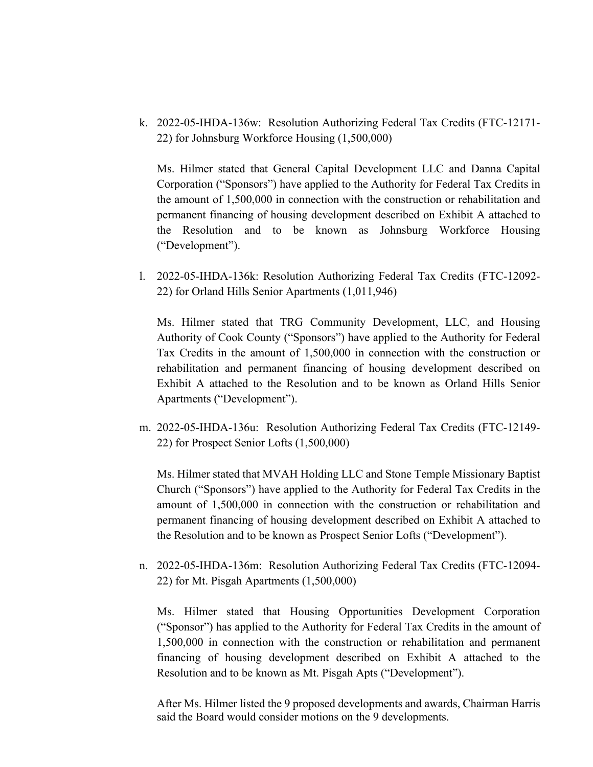k. 2022-05-IHDA-136w: Resolution Authorizing Federal Tax Credits (FTC-12171- 22) for Johnsburg Workforce Housing (1,500,000)

Ms. Hilmer stated that General Capital Development LLC and Danna Capital Corporation ("Sponsors") have applied to the Authority for Federal Tax Credits in the amount of 1,500,000 in connection with the construction or rehabilitation and permanent financing of housing development described on Exhibit A attached to the Resolution and to be known as Johnsburg Workforce Housing ("Development").

l. 2022-05-IHDA-136k: Resolution Authorizing Federal Tax Credits (FTC-12092- 22) for Orland Hills Senior Apartments (1,011,946)

Ms. Hilmer stated that TRG Community Development, LLC, and Housing Authority of Cook County ("Sponsors") have applied to the Authority for Federal Tax Credits in the amount of 1,500,000 in connection with the construction or rehabilitation and permanent financing of housing development described on Exhibit A attached to the Resolution and to be known as Orland Hills Senior Apartments ("Development").

m. 2022-05-IHDA-136u: Resolution Authorizing Federal Tax Credits (FTC-12149- 22) for Prospect Senior Lofts (1,500,000)

Ms. Hilmer stated that MVAH Holding LLC and Stone Temple Missionary Baptist Church ("Sponsors") have applied to the Authority for Federal Tax Credits in the amount of 1,500,000 in connection with the construction or rehabilitation and permanent financing of housing development described on Exhibit A attached to the Resolution and to be known as Prospect Senior Lofts ("Development").

n. 2022-05-IHDA-136m: Resolution Authorizing Federal Tax Credits (FTC-12094- 22) for Mt. Pisgah Apartments (1,500,000)

Ms. Hilmer stated that Housing Opportunities Development Corporation ("Sponsor") has applied to the Authority for Federal Tax Credits in the amount of 1,500,000 in connection with the construction or rehabilitation and permanent financing of housing development described on Exhibit A attached to the Resolution and to be known as Mt. Pisgah Apts ("Development").

After Ms. Hilmer listed the 9 proposed developments and awards, Chairman Harris said the Board would consider motions on the 9 developments.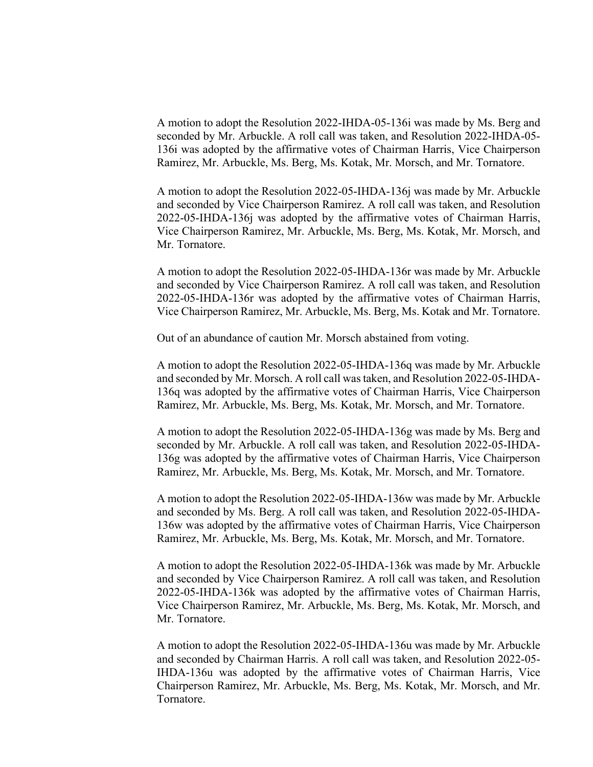A motion to adopt the Resolution 2022-IHDA-05-136i was made by Ms. Berg and seconded by Mr. Arbuckle. A roll call was taken, and Resolution 2022-IHDA-05- 136i was adopted by the affirmative votes of Chairman Harris, Vice Chairperson Ramirez, Mr. Arbuckle, Ms. Berg, Ms. Kotak, Mr. Morsch, and Mr. Tornatore.

A motion to adopt the Resolution 2022-05-IHDA-136j was made by Mr. Arbuckle and seconded by Vice Chairperson Ramirez. A roll call was taken, and Resolution 2022-05-IHDA-136j was adopted by the affirmative votes of Chairman Harris, Vice Chairperson Ramirez, Mr. Arbuckle, Ms. Berg, Ms. Kotak, Mr. Morsch, and Mr. Tornatore.

A motion to adopt the Resolution 2022-05-IHDA-136r was made by Mr. Arbuckle and seconded by Vice Chairperson Ramirez. A roll call was taken, and Resolution 2022-05-IHDA-136r was adopted by the affirmative votes of Chairman Harris, Vice Chairperson Ramirez, Mr. Arbuckle, Ms. Berg, Ms. Kotak and Mr. Tornatore.

Out of an abundance of caution Mr. Morsch abstained from voting.

A motion to adopt the Resolution 2022-05-IHDA-136q was made by Mr. Arbuckle and seconded by Mr. Morsch. A roll call was taken, and Resolution 2022-05-IHDA-136q was adopted by the affirmative votes of Chairman Harris, Vice Chairperson Ramirez, Mr. Arbuckle, Ms. Berg, Ms. Kotak, Mr. Morsch, and Mr. Tornatore.

A motion to adopt the Resolution 2022-05-IHDA-136g was made by Ms. Berg and seconded by Mr. Arbuckle. A roll call was taken, and Resolution 2022-05-IHDA-136g was adopted by the affirmative votes of Chairman Harris, Vice Chairperson Ramirez, Mr. Arbuckle, Ms. Berg, Ms. Kotak, Mr. Morsch, and Mr. Tornatore.

A motion to adopt the Resolution 2022-05-IHDA-136w was made by Mr. Arbuckle and seconded by Ms. Berg. A roll call was taken, and Resolution 2022-05-IHDA-136w was adopted by the affirmative votes of Chairman Harris, Vice Chairperson Ramirez, Mr. Arbuckle, Ms. Berg, Ms. Kotak, Mr. Morsch, and Mr. Tornatore.

A motion to adopt the Resolution 2022-05-IHDA-136k was made by Mr. Arbuckle and seconded by Vice Chairperson Ramirez. A roll call was taken, and Resolution 2022-05-IHDA-136k was adopted by the affirmative votes of Chairman Harris, Vice Chairperson Ramirez, Mr. Arbuckle, Ms. Berg, Ms. Kotak, Mr. Morsch, and Mr. Tornatore.

A motion to adopt the Resolution 2022-05-IHDA-136u was made by Mr. Arbuckle and seconded by Chairman Harris. A roll call was taken, and Resolution 2022-05- IHDA-136u was adopted by the affirmative votes of Chairman Harris, Vice Chairperson Ramirez, Mr. Arbuckle, Ms. Berg, Ms. Kotak, Mr. Morsch, and Mr. Tornatore.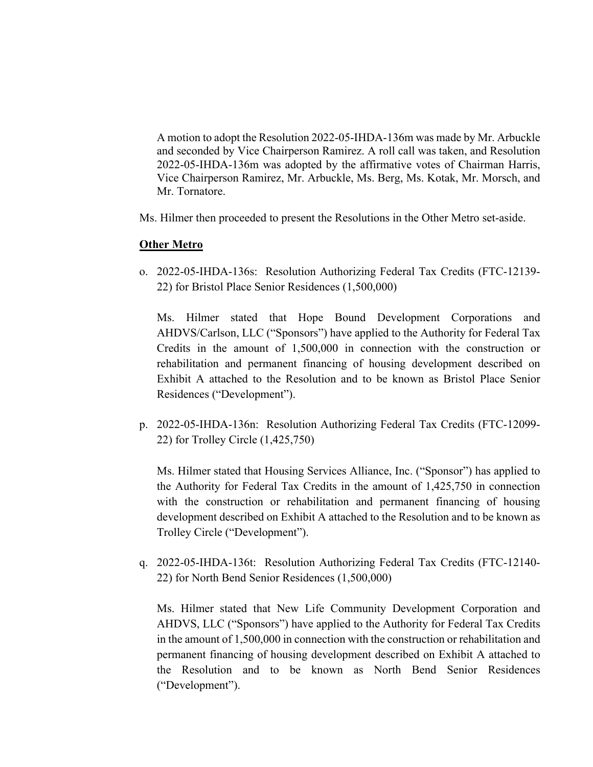A motion to adopt the Resolution 2022-05-IHDA-136m was made by Mr. Arbuckle and seconded by Vice Chairperson Ramirez. A roll call was taken, and Resolution 2022-05-IHDA-136m was adopted by the affirmative votes of Chairman Harris, Vice Chairperson Ramirez, Mr. Arbuckle, Ms. Berg, Ms. Kotak, Mr. Morsch, and Mr. Tornatore.

Ms. Hilmer then proceeded to present the Resolutions in the Other Metro set-aside.

# **Other Metro**

o. 2022-05-IHDA-136s: Resolution Authorizing Federal Tax Credits (FTC-12139- 22) for Bristol Place Senior Residences (1,500,000)

Ms. Hilmer stated that Hope Bound Development Corporations and AHDVS/Carlson, LLC ("Sponsors") have applied to the Authority for Federal Tax Credits in the amount of 1,500,000 in connection with the construction or rehabilitation and permanent financing of housing development described on Exhibit A attached to the Resolution and to be known as Bristol Place Senior Residences ("Development").

p. 2022-05-IHDA-136n: Resolution Authorizing Federal Tax Credits (FTC-12099- 22) for Trolley Circle (1,425,750)

Ms. Hilmer stated that Housing Services Alliance, Inc. ("Sponsor") has applied to the Authority for Federal Tax Credits in the amount of 1,425,750 in connection with the construction or rehabilitation and permanent financing of housing development described on Exhibit A attached to the Resolution and to be known as Trolley Circle ("Development").

q. 2022-05-IHDA-136t: Resolution Authorizing Federal Tax Credits (FTC-12140- 22) for North Bend Senior Residences (1,500,000)

Ms. Hilmer stated that New Life Community Development Corporation and AHDVS, LLC ("Sponsors") have applied to the Authority for Federal Tax Credits in the amount of 1,500,000 in connection with the construction or rehabilitation and permanent financing of housing development described on Exhibit A attached to the Resolution and to be known as North Bend Senior Residences ("Development").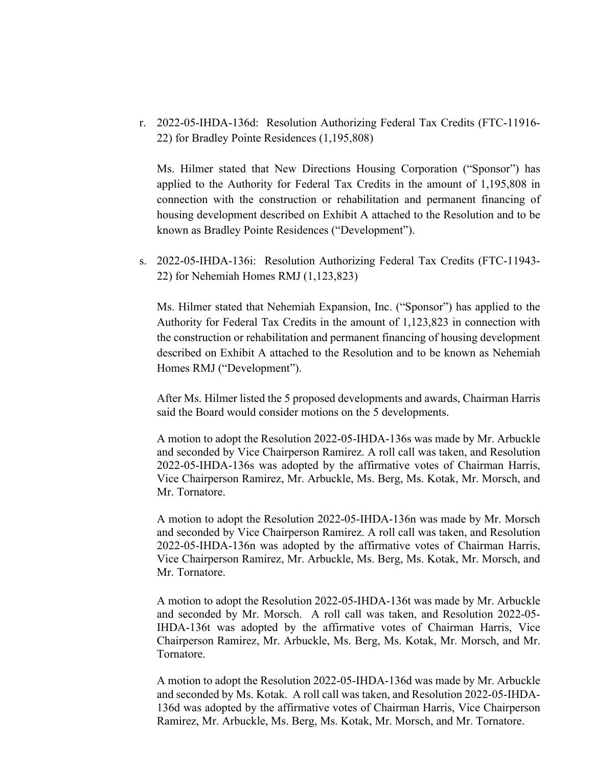r. 2022-05-IHDA-136d: Resolution Authorizing Federal Tax Credits (FTC-11916- 22) for Bradley Pointe Residences (1,195,808)

Ms. Hilmer stated that New Directions Housing Corporation ("Sponsor") has applied to the Authority for Federal Tax Credits in the amount of 1,195,808 in connection with the construction or rehabilitation and permanent financing of housing development described on Exhibit A attached to the Resolution and to be known as Bradley Pointe Residences ("Development").

s. 2022-05-IHDA-136i: Resolution Authorizing Federal Tax Credits (FTC-11943- 22) for Nehemiah Homes RMJ (1,123,823)

Ms. Hilmer stated that Nehemiah Expansion, Inc. ("Sponsor") has applied to the Authority for Federal Tax Credits in the amount of 1,123,823 in connection with the construction or rehabilitation and permanent financing of housing development described on Exhibit A attached to the Resolution and to be known as Nehemiah Homes RMJ ("Development").

After Ms. Hilmer listed the 5 proposed developments and awards, Chairman Harris said the Board would consider motions on the 5 developments.

A motion to adopt the Resolution 2022-05-IHDA-136s was made by Mr. Arbuckle and seconded by Vice Chairperson Ramirez. A roll call was taken, and Resolution 2022-05-IHDA-136s was adopted by the affirmative votes of Chairman Harris, Vice Chairperson Ramirez, Mr. Arbuckle, Ms. Berg, Ms. Kotak, Mr. Morsch, and Mr. Tornatore.

A motion to adopt the Resolution 2022-05-IHDA-136n was made by Mr. Morsch and seconded by Vice Chairperson Ramirez. A roll call was taken, and Resolution 2022-05-IHDA-136n was adopted by the affirmative votes of Chairman Harris, Vice Chairperson Ramirez, Mr. Arbuckle, Ms. Berg, Ms. Kotak, Mr. Morsch, and Mr. Tornatore.

A motion to adopt the Resolution 2022-05-IHDA-136t was made by Mr. Arbuckle and seconded by Mr. Morsch. A roll call was taken, and Resolution 2022-05- IHDA-136t was adopted by the affirmative votes of Chairman Harris, Vice Chairperson Ramirez, Mr. Arbuckle, Ms. Berg, Ms. Kotak, Mr. Morsch, and Mr. Tornatore.

A motion to adopt the Resolution 2022-05-IHDA-136d was made by Mr. Arbuckle and seconded by Ms. Kotak. A roll call was taken, and Resolution 2022-05-IHDA-136d was adopted by the affirmative votes of Chairman Harris, Vice Chairperson Ramirez, Mr. Arbuckle, Ms. Berg, Ms. Kotak, Mr. Morsch, and Mr. Tornatore.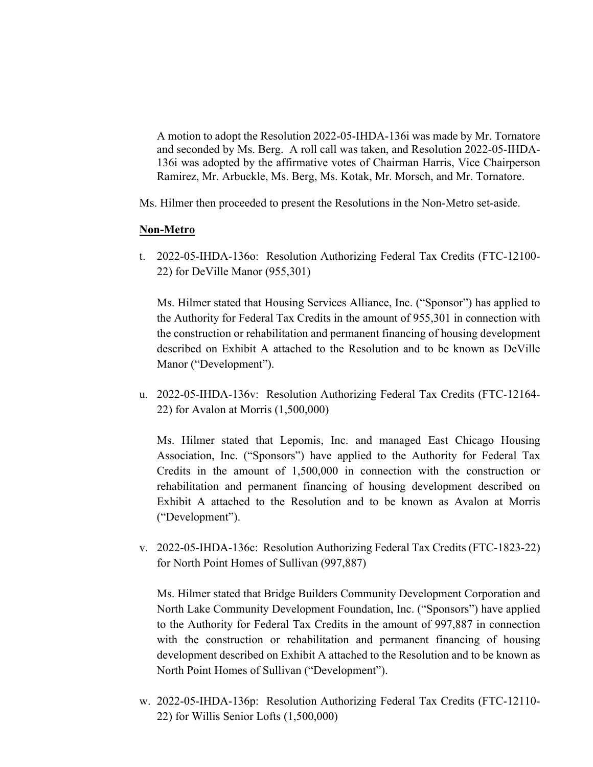A motion to adopt the Resolution 2022-05-IHDA-136i was made by Mr. Tornatore and seconded by Ms. Berg. A roll call was taken, and Resolution 2022-05-IHDA-136i was adopted by the affirmative votes of Chairman Harris, Vice Chairperson Ramirez, Mr. Arbuckle, Ms. Berg, Ms. Kotak, Mr. Morsch, and Mr. Tornatore.

Ms. Hilmer then proceeded to present the Resolutions in the Non-Metro set-aside.

### **Non-Metro**

t. 2022-05-IHDA-136o: Resolution Authorizing Federal Tax Credits (FTC-12100- 22) for DeVille Manor (955,301)

Ms. Hilmer stated that Housing Services Alliance, Inc. ("Sponsor") has applied to the Authority for Federal Tax Credits in the amount of 955,301 in connection with the construction or rehabilitation and permanent financing of housing development described on Exhibit A attached to the Resolution and to be known as DeVille Manor ("Development").

u. 2022-05-IHDA-136v: Resolution Authorizing Federal Tax Credits (FTC-12164- 22) for Avalon at Morris (1,500,000)

Ms. Hilmer stated that Lepomis, Inc. and managed East Chicago Housing Association, Inc. ("Sponsors") have applied to the Authority for Federal Tax Credits in the amount of 1,500,000 in connection with the construction or rehabilitation and permanent financing of housing development described on Exhibit A attached to the Resolution and to be known as Avalon at Morris ("Development").

v. 2022-05-IHDA-136c: Resolution Authorizing Federal Tax Credits (FTC-1823-22) for North Point Homes of Sullivan (997,887)

Ms. Hilmer stated that Bridge Builders Community Development Corporation and North Lake Community Development Foundation, Inc. ("Sponsors") have applied to the Authority for Federal Tax Credits in the amount of 997,887 in connection with the construction or rehabilitation and permanent financing of housing development described on Exhibit A attached to the Resolution and to be known as North Point Homes of Sullivan ("Development").

w. 2022-05-IHDA-136p: Resolution Authorizing Federal Tax Credits (FTC-12110- 22) for Willis Senior Lofts (1,500,000)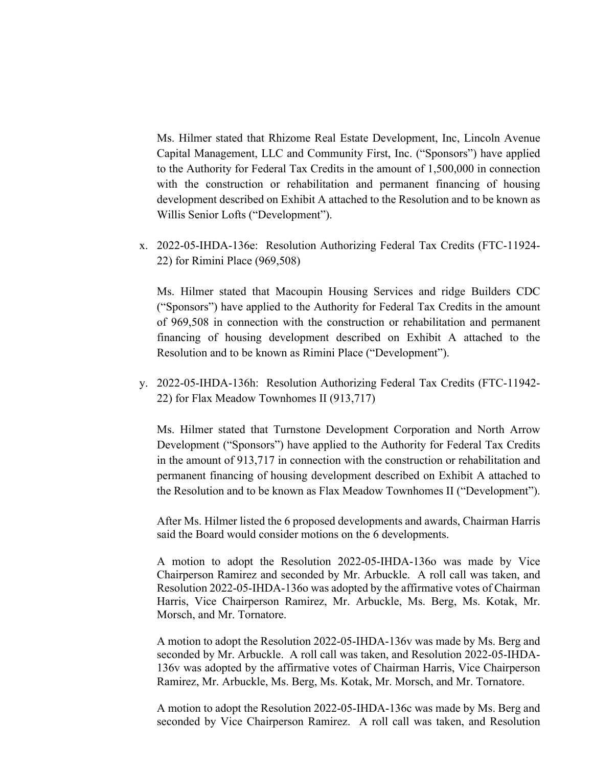Ms. Hilmer stated that Rhizome Real Estate Development, Inc, Lincoln Avenue Capital Management, LLC and Community First, Inc. ("Sponsors") have applied to the Authority for Federal Tax Credits in the amount of 1,500,000 in connection with the construction or rehabilitation and permanent financing of housing development described on Exhibit A attached to the Resolution and to be known as Willis Senior Lofts ("Development").

x. 2022-05-IHDA-136e: Resolution Authorizing Federal Tax Credits (FTC-11924- 22) for Rimini Place (969,508)

Ms. Hilmer stated that Macoupin Housing Services and ridge Builders CDC ("Sponsors") have applied to the Authority for Federal Tax Credits in the amount of 969,508 in connection with the construction or rehabilitation and permanent financing of housing development described on Exhibit A attached to the Resolution and to be known as Rimini Place ("Development").

y. 2022-05-IHDA-136h: Resolution Authorizing Federal Tax Credits (FTC-11942- 22) for Flax Meadow Townhomes II (913,717)

Ms. Hilmer stated that Turnstone Development Corporation and North Arrow Development ("Sponsors") have applied to the Authority for Federal Tax Credits in the amount of 913,717 in connection with the construction or rehabilitation and permanent financing of housing development described on Exhibit A attached to the Resolution and to be known as Flax Meadow Townhomes II ("Development").

After Ms. Hilmer listed the 6 proposed developments and awards, Chairman Harris said the Board would consider motions on the 6 developments.

A motion to adopt the Resolution 2022-05-IHDA-136o was made by Vice Chairperson Ramirez and seconded by Mr. Arbuckle. A roll call was taken, and Resolution 2022-05-IHDA-136o was adopted by the affirmative votes of Chairman Harris, Vice Chairperson Ramirez, Mr. Arbuckle, Ms. Berg, Ms. Kotak, Mr. Morsch, and Mr. Tornatore.

A motion to adopt the Resolution 2022-05-IHDA-136v was made by Ms. Berg and seconded by Mr. Arbuckle. A roll call was taken, and Resolution 2022-05-IHDA-136v was adopted by the affirmative votes of Chairman Harris, Vice Chairperson Ramirez, Mr. Arbuckle, Ms. Berg, Ms. Kotak, Mr. Morsch, and Mr. Tornatore.

A motion to adopt the Resolution 2022-05-IHDA-136c was made by Ms. Berg and seconded by Vice Chairperson Ramirez. A roll call was taken, and Resolution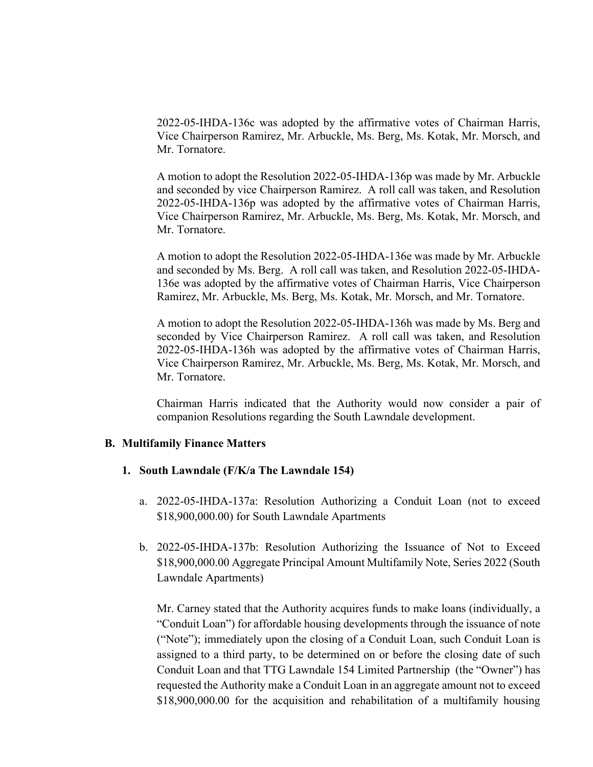2022-05-IHDA-136c was adopted by the affirmative votes of Chairman Harris, Vice Chairperson Ramirez, Mr. Arbuckle, Ms. Berg, Ms. Kotak, Mr. Morsch, and Mr. Tornatore.

A motion to adopt the Resolution 2022-05-IHDA-136p was made by Mr. Arbuckle and seconded by vice Chairperson Ramirez. A roll call was taken, and Resolution 2022-05-IHDA-136p was adopted by the affirmative votes of Chairman Harris, Vice Chairperson Ramirez, Mr. Arbuckle, Ms. Berg, Ms. Kotak, Mr. Morsch, and Mr. Tornatore.

A motion to adopt the Resolution 2022-05-IHDA-136e was made by Mr. Arbuckle and seconded by Ms. Berg. A roll call was taken, and Resolution 2022-05-IHDA-136e was adopted by the affirmative votes of Chairman Harris, Vice Chairperson Ramirez, Mr. Arbuckle, Ms. Berg, Ms. Kotak, Mr. Morsch, and Mr. Tornatore.

A motion to adopt the Resolution 2022-05-IHDA-136h was made by Ms. Berg and seconded by Vice Chairperson Ramirez. A roll call was taken, and Resolution 2022-05-IHDA-136h was adopted by the affirmative votes of Chairman Harris, Vice Chairperson Ramirez, Mr. Arbuckle, Ms. Berg, Ms. Kotak, Mr. Morsch, and Mr. Tornatore.

Chairman Harris indicated that the Authority would now consider a pair of companion Resolutions regarding the South Lawndale development.

### **B. Multifamily Finance Matters**

### **1. South Lawndale (F/K/a The Lawndale 154)**

- a. 2022-05-IHDA-137a: Resolution Authorizing a Conduit Loan (not to exceed \$18,900,000.00) for South Lawndale Apartments
- b. 2022-05-IHDA-137b: Resolution Authorizing the Issuance of Not to Exceed \$18,900,000.00 Aggregate Principal Amount Multifamily Note, Series 2022 (South Lawndale Apartments)

Mr. Carney stated that the Authority acquires funds to make loans (individually, a "Conduit Loan") for affordable housing developments through the issuance of note ("Note"); immediately upon the closing of a Conduit Loan, such Conduit Loan is assigned to a third party, to be determined on or before the closing date of such Conduit Loan and that TTG Lawndale 154 Limited Partnership (the "Owner") has requested the Authority make a Conduit Loan in an aggregate amount not to exceed \$18,900,000.00 for the acquisition and rehabilitation of a multifamily housing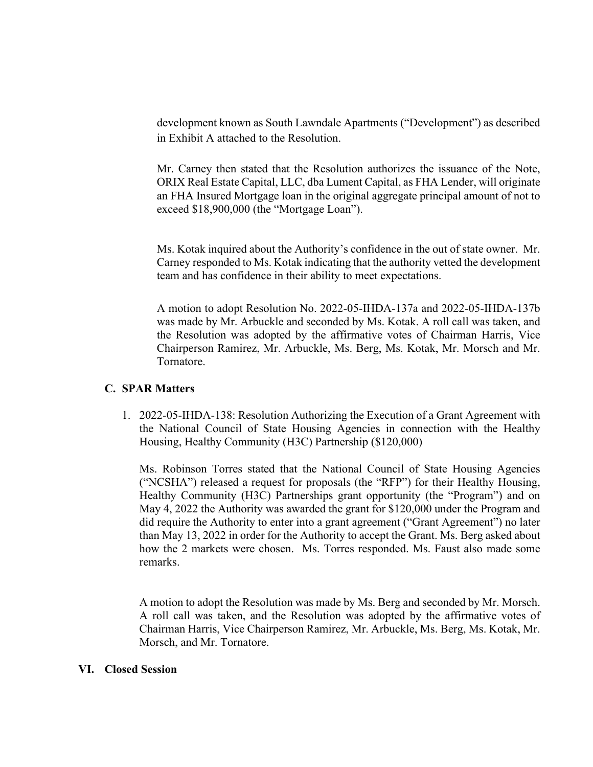development known as South Lawndale Apartments ("Development") as described in Exhibit A attached to the Resolution.

Mr. Carney then stated that the Resolution authorizes the issuance of the Note, ORIX Real Estate Capital, LLC, dba Lument Capital, as FHA Lender, will originate an FHA Insured Mortgage loan in the original aggregate principal amount of not to exceed \$18,900,000 (the "Mortgage Loan").

Ms. Kotak inquired about the Authority's confidence in the out of state owner. Mr. Carney responded to Ms. Kotak indicating that the authority vetted the development team and has confidence in their ability to meet expectations.

A motion to adopt Resolution No. 2022-05-IHDA-137a and 2022-05-IHDA-137b was made by Mr. Arbuckle and seconded by Ms. Kotak. A roll call was taken, and the Resolution was adopted by the affirmative votes of Chairman Harris, Vice Chairperson Ramirez, Mr. Arbuckle, Ms. Berg, Ms. Kotak, Mr. Morsch and Mr. Tornatore.

# **C. SPAR Matters**

1. 2022-05-IHDA-138: Resolution Authorizing the Execution of a Grant Agreement with the National Council of State Housing Agencies in connection with the Healthy Housing, Healthy Community (H3C) Partnership (\$120,000)

Ms. Robinson Torres stated that the National Council of State Housing Agencies ("NCSHA") released a request for proposals (the "RFP") for their Healthy Housing, Healthy Community (H3C) Partnerships grant opportunity (the "Program") and on May 4, 2022 the Authority was awarded the grant for \$120,000 under the Program and did require the Authority to enter into a grant agreement ("Grant Agreement") no later than May 13, 2022 in order for the Authority to accept the Grant. Ms. Berg asked about how the 2 markets were chosen. Ms. Torres responded. Ms. Faust also made some remarks.

A motion to adopt the Resolution was made by Ms. Berg and seconded by Mr. Morsch. A roll call was taken, and the Resolution was adopted by the affirmative votes of Chairman Harris, Vice Chairperson Ramirez, Mr. Arbuckle, Ms. Berg, Ms. Kotak, Mr. Morsch, and Mr. Tornatore.

# **VI. Closed Session**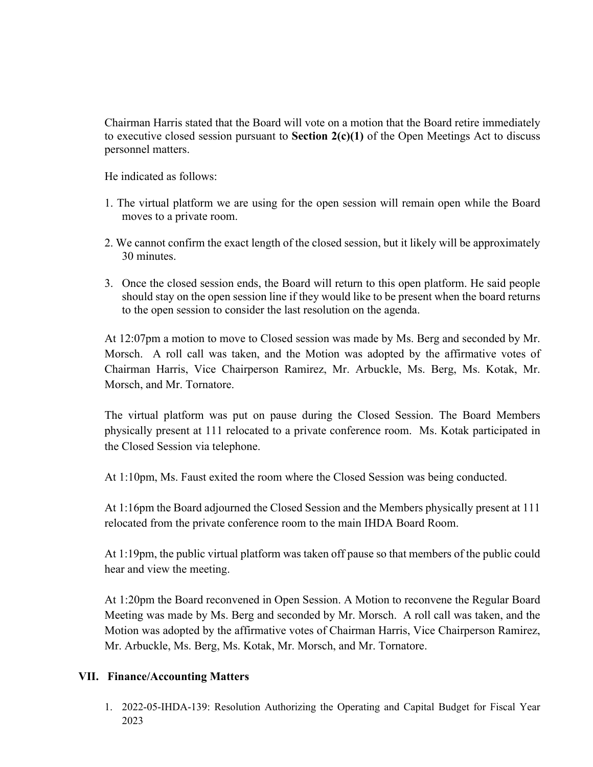Chairman Harris stated that the Board will vote on a motion that the Board retire immediately to executive closed session pursuant to **Section 2(c)(1)** of the Open Meetings Act to discuss personnel matters.

He indicated as follows:

- 1. The virtual platform we are using for the open session will remain open while the Board moves to a private room.
- 2. We cannot confirm the exact length of the closed session, but it likely will be approximately 30 minutes.
- 3. Once the closed session ends, the Board will return to this open platform. He said people should stay on the open session line if they would like to be present when the board returns to the open session to consider the last resolution on the agenda.

At 12:07pm a motion to move to Closed session was made by Ms. Berg and seconded by Mr. Morsch. A roll call was taken, and the Motion was adopted by the affirmative votes of Chairman Harris, Vice Chairperson Ramirez, Mr. Arbuckle, Ms. Berg, Ms. Kotak, Mr. Morsch, and Mr. Tornatore.

The virtual platform was put on pause during the Closed Session. The Board Members physically present at 111 relocated to a private conference room. Ms. Kotak participated in the Closed Session via telephone.

At 1:10pm, Ms. Faust exited the room where the Closed Session was being conducted.

At 1:16pm the Board adjourned the Closed Session and the Members physically present at 111 relocated from the private conference room to the main IHDA Board Room.

At 1:19pm, the public virtual platform was taken off pause so that members of the public could hear and view the meeting.

At 1:20pm the Board reconvened in Open Session. A Motion to reconvene the Regular Board Meeting was made by Ms. Berg and seconded by Mr. Morsch. A roll call was taken, and the Motion was adopted by the affirmative votes of Chairman Harris, Vice Chairperson Ramirez, Mr. Arbuckle, Ms. Berg, Ms. Kotak, Mr. Morsch, and Mr. Tornatore.

# **VII. Finance/Accounting Matters**

1. 2022-05-IHDA-139: Resolution Authorizing the Operating and Capital Budget for Fiscal Year 2023